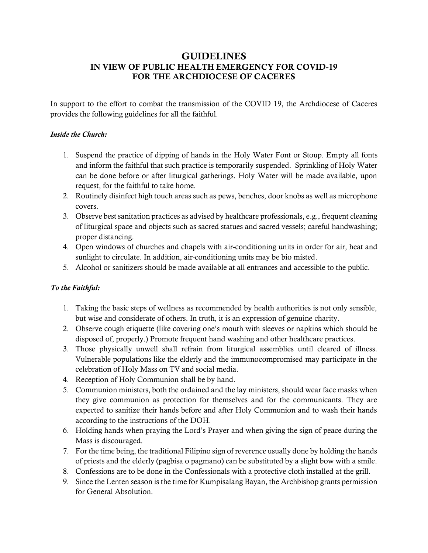# GUIDELINES IN VIEW OF PUBLIC HEALTH EMERGENCY FOR COVID-19 FOR THE ARCHDIOCESE OF CACERES

In support to the effort to combat the transmission of the COVID 19, the Archdiocese of Caceres provides the following guidelines for all the faithful.

# *Inside the Church:*

- 1. Suspend the practice of dipping of hands in the Holy Water Font or Stoup. Empty all fonts and inform the faithful that such practice is temporarily suspended. Sprinkling of Holy Water can be done before or after liturgical gatherings. Holy Water will be made available, upon request, for the faithful to take home.
- 2. Routinely disinfect high touch areas such as pews, benches, door knobs as well as microphone covers.
- 3. Observe best sanitation practices as advised by healthcare professionals, e.g., frequent cleaning of liturgical space and objects such as sacred statues and sacred vessels; careful handwashing; proper distancing.
- 4. Open windows of churches and chapels with air-conditioning units in order for air, heat and sunlight to circulate. In addition, air-conditioning units may be bio misted.
- 5. Alcohol or sanitizers should be made available at all entrances and accessible to the public.

# *To the Faithful:*

- 1. Taking the basic steps of wellness as recommended by health authorities is not only sensible, but wise and considerate of others. In truth, it is an expression of genuine charity.
- 2. Observe cough etiquette (like covering one's mouth with sleeves or napkins which should be disposed of, properly.) Promote frequent hand washing and other healthcare practices.
- 3. Those physically unwell shall refrain from liturgical assemblies until cleared of illness. Vulnerable populations like the elderly and the immunocompromised may participate in the celebration of Holy Mass on TV and social media.
- 4. Reception of Holy Communion shall be by hand.
- 5. Communion ministers, both the ordained and the lay ministers, should wear face masks when they give communion as protection for themselves and for the communicants. They are expected to sanitize their hands before and after Holy Communion and to wash their hands according to the instructions of the DOH.
- 6. Holding hands when praying the Lord's Prayer and when giving the sign of peace during the Mass is discouraged.
- 7. For the time being, the traditional Filipino sign of reverence usually done by holding the hands of priests and the elderly (pagbisa o pagmano) can be substituted by a slight bow with a smile.
- 8. Confessions are to be done in the Confessionals with a protective cloth installed at the grill.
- 9. Since the Lenten season is the time for Kumpisalang Bayan, the Archbishop grants permission for General Absolution.